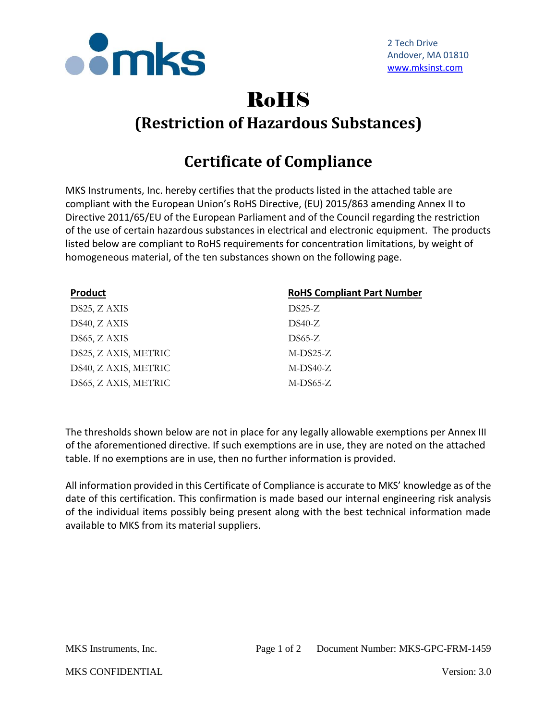

## RoHS **(Restriction of Hazardous Substances)**

## **Certificate of Compliance**

MKS Instruments, Inc. hereby certifies that the products listed in the attached table are compliant with the European Union's RoHS Directive, (EU) 2015/863 amending Annex II to Directive 2011/65/EU of the European Parliament and of the Council regarding the restriction of the use of certain hazardous substances in electrical and electronic equipment. The products listed below are compliant to RoHS requirements for concentration limitations, by weight of homogeneous material, of the ten substances shown on the following page.

| <b>Product</b>       | <b>RoHS Compliant Part Number</b> |
|----------------------|-----------------------------------|
| DS25, Z AXIS         | $DS25-Z$                          |
| DS40, Z AXIS         | $DS40-Z$                          |
| DS65, ZAXIS          | $DS65-Z$                          |
| DS25, Z AXIS, METRIC | $M-DS25-Z$                        |
| DS40, Z AXIS, METRIC | $M-DS40-Z$                        |
| DS65, Z AXIS, METRIC | $M-DS65-Z$                        |

The thresholds shown below are not in place for any legally allowable exemptions per Annex III of the aforementioned directive. If such exemptions are in use, they are noted on the attached table. If no exemptions are in use, then no further information is provided.

All information provided in this Certificate of Compliance is accurate to MKS' knowledge as of the date of this certification. This confirmation is made based our internal engineering risk analysis of the individual items possibly being present along with the best technical information made available to MKS from its material suppliers.

MKS CONFIDENTIAL Version: 3.0